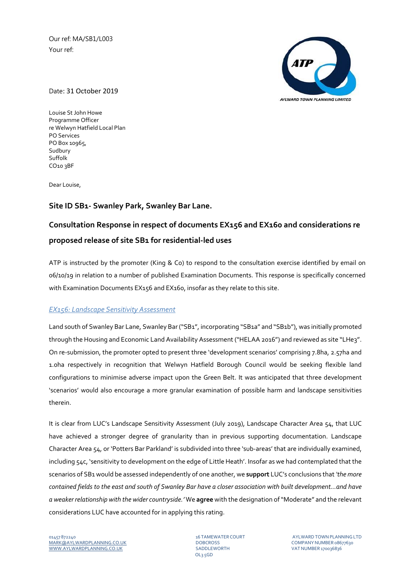Our ref: MA/SB1/L003 Your ref:



Date: 31 October 2019

Louise St John Howe Programme Officer re Welwyn Hatfield Local Plan PO Services PO Box 10965, Sudbury Suffolk CO10 3BF

Dear Louise,

## **Site ID SB1‐ Swanley Park, Swanley Bar Lane.**

# **Consultation Response in respect of documents EX156 and EX160 and considerations re proposed release of site SB1 for residential‐led uses**

ATP is instructed by the promoter (King & Co) to respond to the consultation exercise identified by email on 06/10/19 in relation to a number of published Examination Documents. This response is specifically concerned with Examination Documents EX156 and EX160, insofar as they relate to this site.

### *EX156: Landscape Sensitivity Assessment*

Land south of Swanley Bar Lane, Swanley Bar ("SB1", incorporating "SB1a" and "SB1b"), was initially promoted through the Housing and Economic Land Availability Assessment ("HELAA 2016") and reviewed as site "LHe3". On re‐submission, the promoter opted to present three 'development scenarios' comprising 7.8ha, 2.57ha and 1.0ha respectively in recognition that Welwyn Hatfield Borough Council would be seeking flexible land configurations to minimise adverse impact upon the Green Belt. It was anticipated that three development 'scenarios' would also encourage a more granular examination of possible harm and landscape sensitivities therein.

It is clear from LUC's Landscape Sensitivity Assessment (July 2019), Landscape Character Area 54, that LUC have achieved a stronger degree of granularity than in previous supporting documentation. Landscape Character Area 54, or 'Potters Bar Parkland' is subdivided into three 'sub‐areas' that are individually examined, including 54c, 'sensitivity to development on the edge of Little Heath'. Insofar as we had contemplated that the scenarios of SB1 would be assessed independently of one another, we **support** LUC's conclusions that *'the more* contained fields to the east and south of Swanley Bar have a closer association with built development...and have *a weaker relationship with the wider countryside.'* We **agree** with the designation of"Moderate" and the relevant considerations LUC have accounted for in applying this rating.

OL3 5GD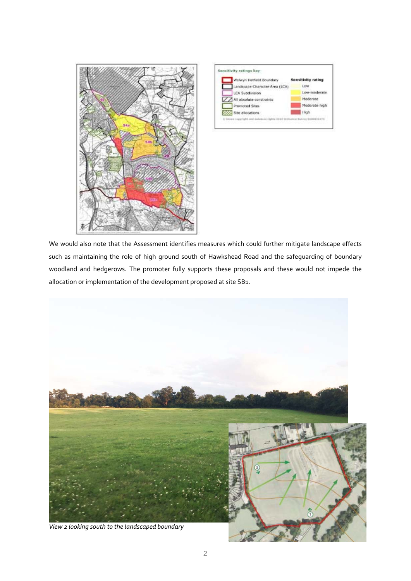



We would also note that the Assessment identifies measures which could further mitigate landscape effects such as maintaining the role of high ground south of Hawkshead Road and the safeguarding of boundary woodland and hedgerows. The promoter fully supports these proposals and these would not impede the allocation or implementation of the development proposed at site SB1.

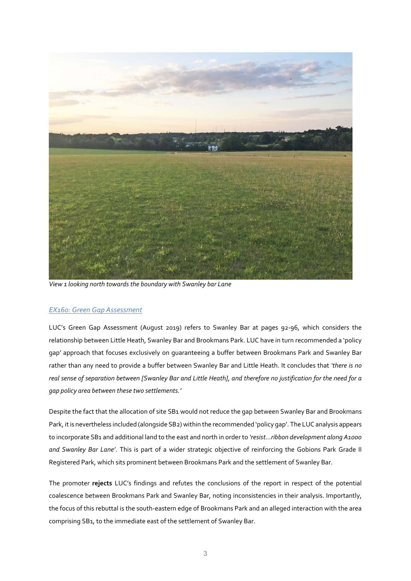

*View 1 looking north towardsthe boundary with Swanley bar Lane*

### *EX160: Green Gap Assessment*

LUC's Green Gap Assessment (August 2019) refers to Swanley Bar at pages 92‐96, which considers the relationship between Little Heath, Swanley Bar and Brookmans Park. LUC have in turn recommended a 'policy gap' approach that focuses exclusively on guaranteeing a buffer between Brookmans Park and Swanley Bar rather than any need to provide a buffer between Swanley Bar and Little Heath. It concludes that *'there is no* real sense of separation between [Swanley Bar and Little Heath], and therefore no justification for the need for a *gap policy area between these two settlements.'* 

Despite the fact that the allocation of site SB1 would not reduce the gap between Swanley Bar and Brookmans Park, it is nevertheless included (alongside SB2) within the recommended 'policy gap'. The LUC analysis appears to incorporate SB1 and additional land to the east and north in order to *'resist…ribbon development along A1000 and Swanley Bar Lane'*. This is part of a wider strategic objective of reinforcing the Gobions Park Grade II Registered Park, which sits prominent between Brookmans Park and the settlement of Swanley Bar.

The promoter **rejects** LUC's findings and refutes the conclusions of the report in respect of the potential coalescence between Brookmans Park and Swanley Bar, noting inconsistencies in their analysis. Importantly, the focus of this rebuttal is the south‐eastern edge of Brookmans Park and an alleged interaction with the area comprising SB1, to the immediate east of the settlement of Swanley Bar.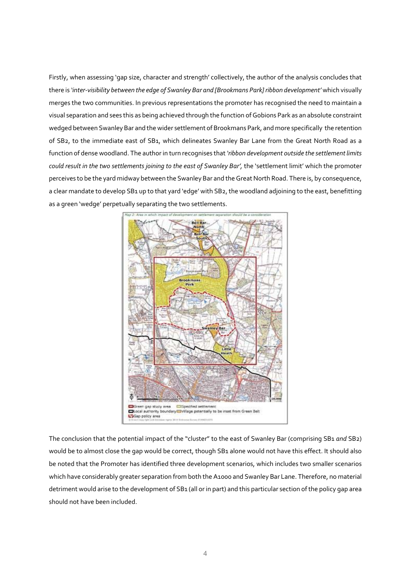Firstly, when assessing 'gap size, character and strength' collectively, the author of the analysis concludes that there is *'inter‐visibility between the edge of Swanley Bar and [Brookmans Park] ribbon development'* which visually merges the two communities. In previous representations the promoter has recognised the need to maintain a visual separation and sees this as being achieved through the function ofGobions Park as an absolute constraint wedged between Swanley Bar and the wider settlement of Brookmans Park, and more specifically the retention of SB2, to the immediate east of SB1, which delineates Swanley Bar Lane from the Great North Road as a function of dense woodland. The author in turn recognises that*'ribbon development outside the settlementlimits could result in the two settlements joining to the east of Swanley Bar',* the 'settlement limit' which the promoter perceives to be the yard midway between the Swanley Bar and the Great North Road. There is, by consequence, a clear mandate to develop SB1 up to that yard 'edge' with SB2, the woodland adjoining to the east, benefitting as a green 'wedge' perpetually separating the two settlements.



The conclusion that the potential impact of the "cluster" to the east of Swanley Bar (comprising SB1 *and* SB2) would be to almost close the gap would be correct, though SB1 alone would not have this effect. It should also be noted that the Promoter has identified three development scenarios, which includes two smaller scenarios which have considerably greater separation from both the A1000 and Swanley Bar Lane. Therefore, no material detriment would arise to the development of SB1 (all or in part) and this particular section of the policy gap area should not have been included.